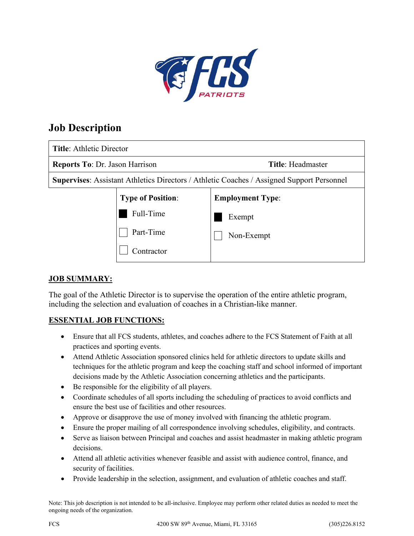

# **Job Description**

| <b>Title: Athletic Director</b>                                                           |                          |                          |
|-------------------------------------------------------------------------------------------|--------------------------|--------------------------|
| <b>Reports To: Dr. Jason Harrison</b>                                                     |                          | <b>Title: Headmaster</b> |
| Supervises: Assistant Athletics Directors / Athletic Coaches / Assigned Support Personnel |                          |                          |
|                                                                                           | <b>Type of Position:</b> | <b>Employment Type:</b>  |
|                                                                                           | Full-Time                | Exempt                   |
|                                                                                           | Part-Time                | Non-Exempt               |
|                                                                                           | Contractor               |                          |

## **JOB SUMMARY:**

The goal of the Athletic Director is to supervise the operation of the entire athletic program, including the selection and evaluation of coaches in a Christian-like manner.

### **ESSENTIAL JOB FUNCTIONS:**

- Ensure that all FCS students, athletes, and coaches adhere to the FCS Statement of Faith at all practices and sporting events.
- Attend Athletic Association sponsored clinics held for athletic directors to update skills and techniques for the athletic program and keep the coaching staff and school informed of important decisions made by the Athletic Association concerning athletics and the participants.
- Be responsible for the eligibility of all players.
- Coordinate schedules of all sports including the scheduling of practices to avoid conflicts and ensure the best use of facilities and other resources.
- Approve or disapprove the use of money involved with financing the athletic program.
- Ensure the proper mailing of all correspondence involving schedules, eligibility, and contracts.
- Serve as liaison between Principal and coaches and assist headmaster in making athletic program decisions.
- Attend all athletic activities whenever feasible and assist with audience control, finance, and security of facilities.
- Provide leadership in the selection, assignment, and evaluation of athletic coaches and staff.

Note: This job description is not intended to be all-inclusive. Employee may perform other related duties as needed to meet the ongoing needs of the organization.